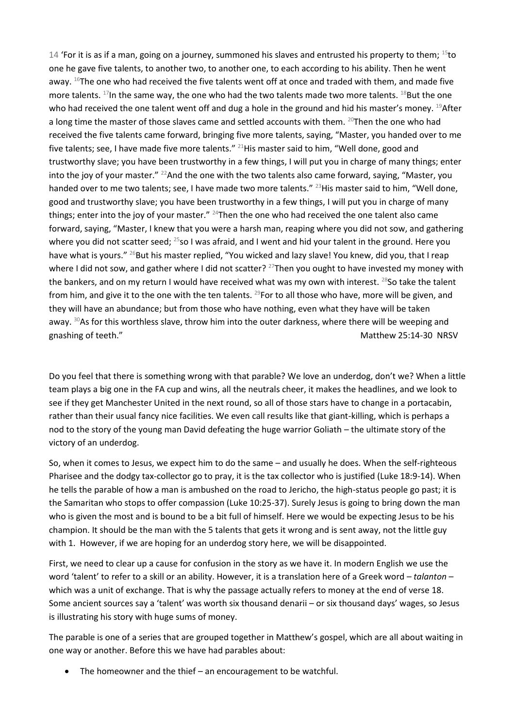14 'For it is as if a man, going on a journey, summoned his slaves and entrusted his property to them;  $^{15}$ to one he gave five talents, to another two, to another one, to each according to his ability. Then he went away. <sup>16</sup>The one who had received the five talents went off at once and traded with them, and made five more talents. <sup>17</sup>In the same way, the one who had the two talents made two more talents. <sup>18</sup>But the one who had received the one talent went off and dug a hole in the ground and hid his master's money. <sup>19</sup>After a long time the master of those slaves came and settled accounts with them. <sup>20</sup>Then the one who had received the five talents came forward, bringing five more talents, saying, "Master, you handed over to me five talents; see, I have made five more talents." <sup>21</sup>His master said to him, "Well done, good and trustworthy slave; you have been trustworthy in a few things, I will put you in charge of many things; enter into the joy of your master."  $^{22}$ And the one with the two talents also came forward, saying, "Master, you handed over to me two talents; see, I have made two more talents." <sup>23</sup>His master said to him, "Well done, good and trustworthy slave; you have been trustworthy in a few things, I will put you in charge of many things; enter into the joy of your master." <sup>24</sup>Then the one who had received the one talent also came forward, saying, "Master, I knew that you were a harsh man, reaping where you did not sow, and gathering where you did not scatter seed; <sup>25</sup>so I was afraid, and I went and hid your talent in the ground. Here you have what is yours." <sup>26</sup>But his master replied, "You wicked and lazy slave! You knew, did you, that I reap where I did not sow, and gather where I did not scatter? <sup>27</sup>Then you ought to have invested my money with the bankers, and on my return I would have received what was my own with interest. <sup>28</sup>So take the talent from him, and give it to the one with the ten talents.  $^{29}$  For to all those who have, more will be given, and they will have an abundance; but from those who have nothing, even what they have will be taken away. <sup>30</sup>As for this worthless slave, throw him into the outer darkness, where there will be weeping and gnashing of teeth." The contraction of the contraction of the Matthew 25:14-30 NRSV

Do you feel that there is something wrong with that parable? We love an underdog, don't we? When a little team plays a big one in the FA cup and wins, all the neutrals cheer, it makes the headlines, and we look to see if they get Manchester United in the next round, so all of those stars have to change in a portacabin, rather than their usual fancy nice facilities. We even call results like that giant-killing, which is perhaps a nod to the story of the young man David defeating the huge warrior Goliath – the ultimate story of the victory of an underdog.

So, when it comes to Jesus, we expect him to do the same – and usually he does. When the self-righteous Pharisee and the dodgy tax-collector go to pray, it is the tax collector who is justified (Luke 18:9-14). When he tells the parable of how a man is ambushed on the road to Jericho, the high-status people go past; it is the Samaritan who stops to offer compassion (Luke 10:25-37). Surely Jesus is going to bring down the man who is given the most and is bound to be a bit full of himself. Here we would be expecting Jesus to be his champion. It should be the man with the 5 talents that gets it wrong and is sent away, not the little guy with 1. However, if we are hoping for an underdog story here, we will be disappointed.

First, we need to clear up a cause for confusion in the story as we have it. In modern English we use the word 'talent' to refer to a skill or an ability. However, it is a translation here of a Greek word – *talanton* – which was a unit of exchange. That is why the passage actually refers to money at the end of verse 18. Some ancient sources say a 'talent' was worth six thousand denarii – or six thousand days' wages, so Jesus is illustrating his story with huge sums of money.

The parable is one of a series that are grouped together in Matthew's gospel, which are all about waiting in one way or another. Before this we have had parables about:

• The homeowner and the thief – an encouragement to be watchful.